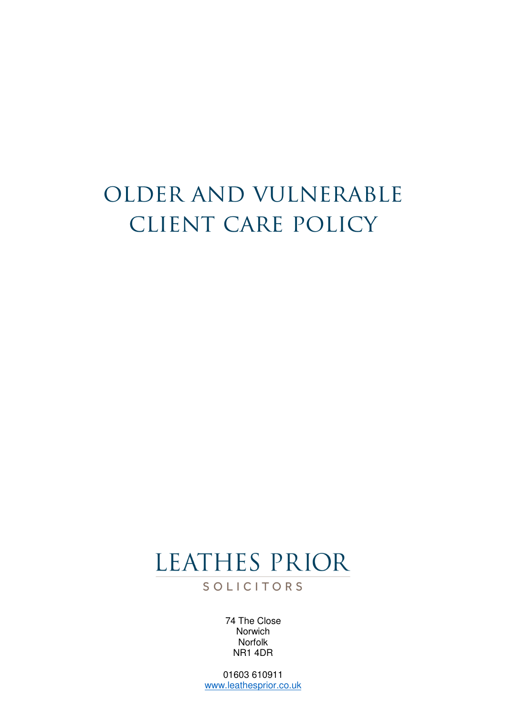## older and vulnerable client care policy

## LEATHES PRIOR

SOLICITORS

74 The Close **Norwich** Norfolk NR1 4DR

01603 610911 www.leathesprior.co.uk